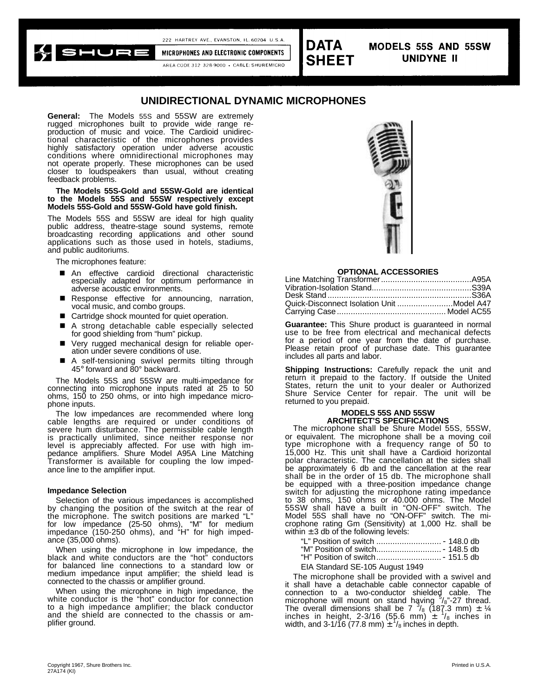$SHUF$ 

MICROPHONES AND ELECTRONIC COMPONENTS AREA CODE 312 328-9000 + CABLE: SHUREMICRO

222 HARTREY AVE., EVANSTON, IL, 60204 U.S.A



**MODELS 55S AND 55SW UNIDYNE II** 

# **UNIDIRECTIONAL DYNAMIC MICROPHONES**

**General:** The Models 55S and 55SW are extremely rugged microphones built to provide wide range reproduction of music and voice. The Cardioid unidirectional characteristic of the microphones provides highly satisfactory operation under adverse acoustic conditions where omnidirectional microphones may not operate properly. These microphones can be used closer to loudspeakers than usual, without creating feedback problems.

#### **The Models 55S-Gold and 55SW-Gold are identical to the Models 55S and 55SW respectively except Models 55S-Gold and 55SW-Gold have gold finish.**

The Models 55S and 55SW are ideal for high quality public address, theatre-stage sound systems, remote broadcasting recording applications and other sound applications such as those used in hotels, stadiums, and public auditoriums.

The microphones feature:

- An effective cardioid directional characteristic especially adapted for optimum performance in adverse acoustic environments.
- **n** Response effective for announcing, narration, vocal music, and combo groups.
- Cartridge shock mounted for quiet operation.
- n A strong detachable cable especially selected for good shielding from "hum" pickup.
- Very rugged mechanical design for reliable operation under severe conditions of use.
- A self-tensioning swivel permits tilting through 45° forward and 80° backward.

The Models 55S and 55SW are multi-impedance for connecting into microphone inputs rated at 25 to 50 ohms, 150 to 250 ohms, or into high impedance microphone inputs.

The low impedances are recommended where long cable lengths are required or under conditions of severe hum disturbance. The permissible cable length is practically unlimited, since neither response nor level is appreciably affected. For use with high impedance amplifiers. Shure Model A95A Line Matching Transformer is available for coupling the low impedance line to the amplifier input.

#### **Impedance Selection**

Selection of the various impedances is accomplished by changing the position of the switch at the rear of the microphone. The switch positions are marked "L" for low impedance (25-50 ohms), "M" for medium impedance (150-250 ohms), and "H" for high impedance (35,000 ohms).

When using the microphone in low impedance, the black and white conductors are the "hot" conductors for balanced line connections to a standard low or medium impedance input amplifier; the shield lead is connected to the chassis or amplifier ground.

When using the microphone in high impedance, the white conductor is the "hot" conductor for connection to a high impedance amplifier; the black conductor and the shield are connected to the chassis or amplifier ground.



#### **OPTIONAL ACCESSORIES**

| Quick-Disconnect Isolation Unit Model A47 |  |
|-------------------------------------------|--|
|                                           |  |

**Guarantee:** This Shure product is guaranteed in normal use to be free from electrical and mechanical defects for a period of one year from the date of purchase. Please retain proof of purchase date. This guarantee includes all parts and labor.

**Shipping Instructions:** Carefully repack the unit and return it prepaid to the factory. If outside the United States, return the unit to your dealer or Authorized Shure Service Center for repair. The unit will be returned to you prepaid.

#### **MODELS 55S AND 55SW ARCHITECT'S SPECIFICATIONS**

The microphone shall be Shure Model 55S, 55SW, or equivalent. The microphone shall be a moving coil type microphone with a frequency range of 50 to 15,000 Hz. This unit shall have a Cardioid horizontal polar characteristic. The cancellation at the sides shall be approximately 6 db and the cancellation at the rear shall be in the order of 15 db. The microphone shall be equipped with a three-position impedance change switch for adjusting the microphone rating impedance to 38 ohms, 150 ohms or 40.000 ohms. The Model 55SW shall have a built in "ON-OFF" switch. The Model 55S shall have no "ON-OFF" switch. The microphone rating Gm (Sensitivity) at 1,000 Hz. shall be within  $\pm$  3 db of the following levels:

| EIA Standard SE-105 August 1949 |  |
|---------------------------------|--|

The microphone shall be provided with a swivel and it shall have a detachable cable connector capable of connection to a two-conductor shielded cable. The microphone will mount on stand having  $\frac{5}{8}$  27 thread.<br>The overall dimensions shall be 7  $\frac{3}{8}$  (187.3 mm) ± ¼ inches in height, 2-3/16 (55.6 mm)  $\pm$   $\frac{1}{8}$  inches in width, and  $3-1/16$  (77.8 mm)  $\pm$   $\frac{1}{2}$  inches in depth.